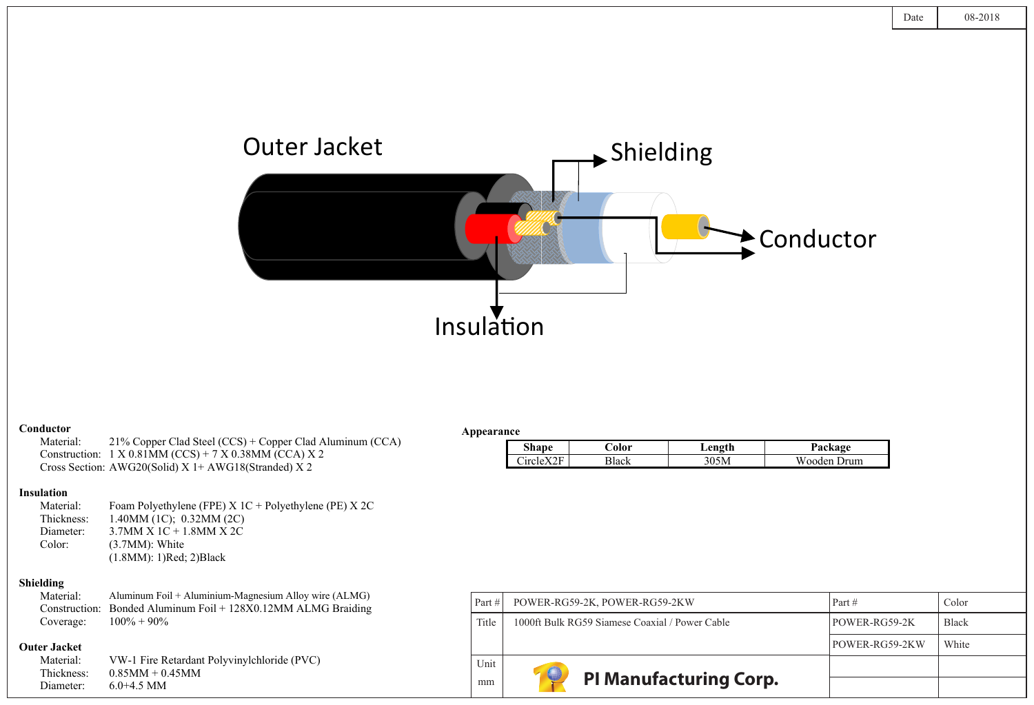

#### **Conductor**

Material: 21% Copper Clad Steel (CCS) + Copper Clad Aluminum (CCA) Construction:  $1 \text{ X } 0.81 \text{MM}$  (CCS) + 7 X 0.38MM (CCA) X 2 Cross Section: AWG20(Solid)  $X$  1+ AWG18(Stranded)  $X$  2

#### **Appearance**

| shape               | ⊅olor | Length | Package        |
|---------------------|-------|--------|----------------|
| , н<br>$11^{\circ}$ | lack  |        | Wooden.<br>rum |

#### **Insulation**

| Material:  | Foam Polyethylene (FPE) $X$ 1C + Polyethylene (PE) $X$ 2C |
|------------|-----------------------------------------------------------|
| Thickness: | $1.40MM$ (1C); 0.32MM (2C)                                |
| Diameter:  | $3.7$ MM X 1C + 1.8MM X 2C                                |
| Color:     | $(3.7MM)$ : White                                         |
|            | $(1.8MM): 1)$ Red; 2)Black                                |

## **Shielding**

| Material: | Aluminum Foil + Aluminium-Magnesium Alloy wire $(ALMG)$       |
|-----------|---------------------------------------------------------------|
|           | Construction: Bonded Aluminum Foil + 128X0.12MM ALMG Braiding |
| Coverage: | $100\% + 90\%$                                                |

## **Outer Jacket**

| Material:  | VW-1 Fire Retardant Polyvinylchloride (PVC) |
|------------|---------------------------------------------|
| Thickness: | $0.85MM + 0.45MM$                           |
| Diameter:  | $6.0 + 4.5$ MM                              |

| Part # | POWER-RG59-2K, POWER-RG59-2KW                  | Part $#$       | Color        |
|--------|------------------------------------------------|----------------|--------------|
| Title  | 1000ft Bulk RG59 Siamese Coaxial / Power Cable | POWER-RG59-2K  | <b>Black</b> |
|        |                                                | POWER-RG59-2KW | White        |
| Unit   | $\bigcirc$                                     |                |              |
| mm     | <b>PI Manufacturing Corp.</b>                  |                |              |